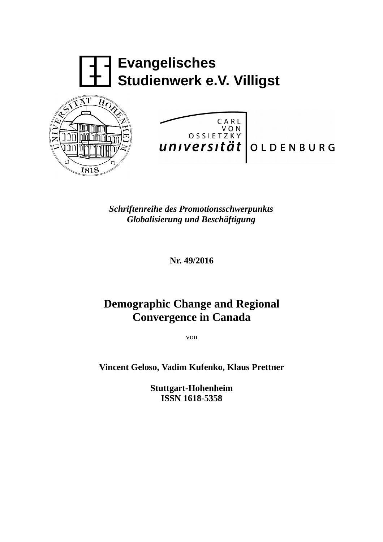

*Schriftenreihe des Promotionsschwerpunkts Globalisierung und Beschäftigung*

**Nr. 49/2016**

# **Demographic Change and Regional Convergence in Canada**

von

**Vincent Geloso, Vadim Kufenko, Klaus Prettner**

**Stuttgart-Hohenheim ISSN 1618-5358**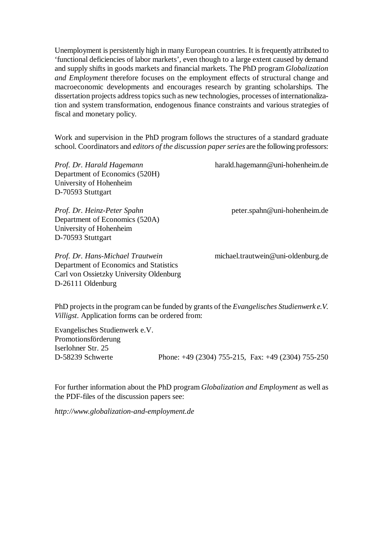Unemployment is persistently high in many European countries. It is frequently attributed to 'functional deficiencies of labor markets', even though to a large extent caused by demand and supply shifts in goods markets and financial markets. The PhD program *Globalization and Employment* therefore focuses on the employment effects of structural change and macroeconomic developments and encourages research by granting scholarships. The dissertation projects address topics such as new technologies, processes of internationalization and system transformation, endogenous finance constraints and various strategies of fiscal and monetary policy.

Work and supervision in the PhD program follows the structures of a standard graduate school. Coordinators and *editors of the discussion paper series* are the following professors:

Department of Economics (520H) University of Hohenheim D-70593 Stuttgart

*Prof. Dr. Heinz-Peter Spahn* peter.spahn@uni-hohenheim.de Department of Economics (520A) University of Hohenheim D-70593 Stuttgart

*Prof. Dr. Hans-Michael Trautwein* michael.trautwein@uni-oldenburg.de Department of Economics and Statistics Carl von Ossietzky University Oldenburg D-26111 Oldenburg

*Prof. Dr. Harald Hagemann* harald.hagemann@uni-hohenheim.de

PhD projects in the program can be funded by grants of the *Evangelisches Studienwerk e.V. Villigst*. Application forms can be ordered from:

Evangelisches Studienwerk e.V. Promotionsförderung Iserlohner Str. 25

D-58239 Schwerte Phone: +49 (2304) 755-215, Fax: +49 (2304) 755-250

For further information about the PhD program *Globalization and Employment* as well as the PDF-files of the discussion papers see:

*http://www.globalization-and-employment.de*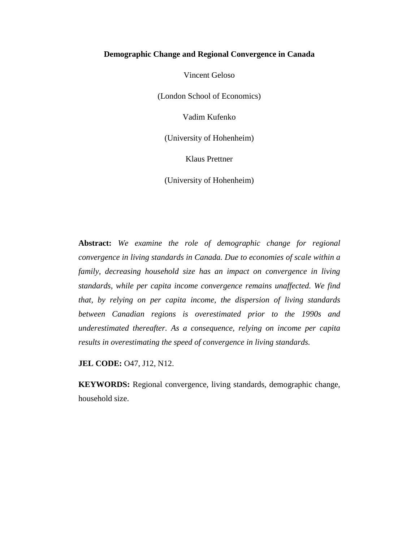# **Demographic Change and Regional Convergence in Canada**

Vincent Geloso

(London School of Economics)

Vadim Kufenko

(University of Hohenheim)

Klaus Prettner

(University of Hohenheim)

**Abstract:** *We examine the role of demographic change for regional convergence in living standards in Canada. Due to economies of scale within a family, decreasing household size has an impact on convergence in living standards, while per capita income convergence remains unaffected. We find that, by relying on per capita income, the dispersion of living standards between Canadian regions is overestimated prior to the 1990s and underestimated thereafter. As a consequence, relying on income per capita results in overestimating the speed of convergence in living standards.*

**JEL CODE: 047, J12, N12.** 

**KEYWORDS:** Regional convergence, living standards, demographic change, household size.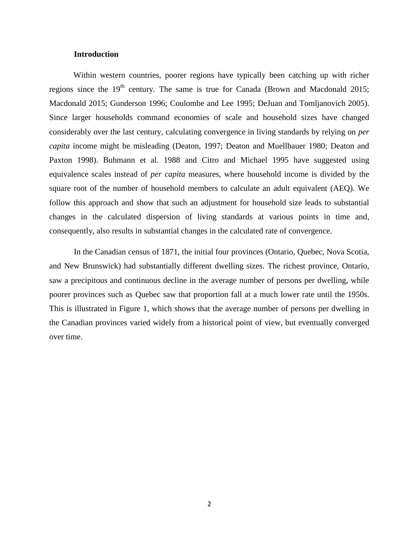# **Introduction**

Within western countries, poorer regions have typically been catching up with richer regions since the  $19<sup>th</sup>$  century. The same is true for Canada (Brown and Macdonald 2015; Macdonald 2015; Gunderson 1996; Coulombe and Lee 1995; DeJuan and Tomljanovich 2005). Since larger households command economies of scale and household sizes have changed considerably over the last century, calculating convergence in living standards by relying on *per capita* income might be misleading (Deaton, 1997; Deaton and Muellbauer 1980; Deaton and Paxton 1998). Buhmann et al. 1988 and Citro and Michael 1995 have suggested using equivalence scales instead of *per capita* measures, where household income is divided by the square root of the number of household members to calculate an adult equivalent (AEQ). We follow this approach and show that such an adjustment for household size leads to substantial changes in the calculated dispersion of living standards at various points in time and, consequently, also results in substantial changes in the calculated rate of convergence.

In the Canadian census of 1871, the initial four provinces (Ontario, Quebec, Nova Scotia, and New Brunswick) had substantially different dwelling sizes. The richest province, Ontario, saw a precipitous and continuous decline in the average number of persons per dwelling, while poorer provinces such as Quebec saw that proportion fall at a much lower rate until the 1950s. This is illustrated in Figure 1, which shows that the average number of persons per dwelling in the Canadian provinces varied widely from a historical point of view, but eventually converged over time.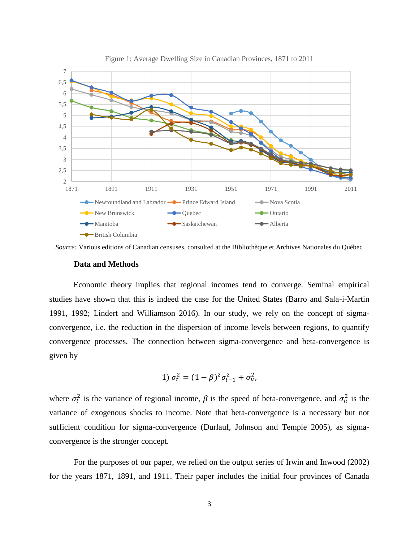

Figure 1: Average Dwelling Size in Canadian Provinces, 1871 to 2011

*Source:* Various editions of Canadian censuses, consulted at the Bibliothèque et Archives Nationales du Québec

#### **Data and Methods**

Economic theory implies that regional incomes tend to converge. Seminal empirical studies have shown that this is indeed the case for the United States (Barro and Sala-i-Martin 1991, 1992; Lindert and Williamson 2016). In our study, we rely on the concept of sigmaconvergence, i.e. the reduction in the dispersion of income levels between regions, to quantify convergence processes. The connection between sigma-convergence and beta-convergence is given by

1) 
$$
\sigma_t^2 = (1 - \beta)^2 \sigma_{t-1}^2 + \sigma_u^2
$$
,

where  $\sigma_t^2$  is the variance of regional income,  $\beta$  is the speed of beta-convergence, and  $\sigma_u^2$  is the variance of exogenous shocks to income. Note that beta-convergence is a necessary but not sufficient condition for sigma-convergence (Durlauf, Johnson and Temple 2005), as sigmaconvergence is the stronger concept.

For the purposes of our paper, we relied on the output series of Irwin and Inwood (2002) for the years 1871, 1891, and 1911. Their paper includes the initial four provinces of Canada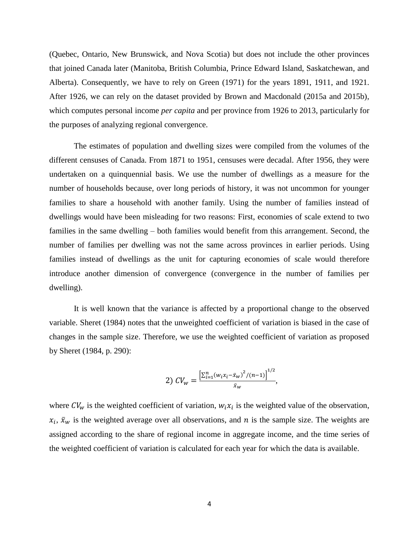(Quebec, Ontario, New Brunswick, and Nova Scotia) but does not include the other provinces that joined Canada later (Manitoba, British Columbia, Prince Edward Island, Saskatchewan, and Alberta). Consequently, we have to rely on Green (1971) for the years 1891, 1911, and 1921. After 1926, we can rely on the dataset provided by Brown and Macdonald (2015a and 2015b), which computes personal income *per capita* and per province from 1926 to 2013, particularly for the purposes of analyzing regional convergence.

The estimates of population and dwelling sizes were compiled from the volumes of the different censuses of Canada. From 1871 to 1951, censuses were decadal. After 1956, they were undertaken on a quinquennial basis. We use the number of dwellings as a measure for the number of households because, over long periods of history, it was not uncommon for younger families to share a household with another family. Using the number of families instead of dwellings would have been misleading for two reasons: First, economies of scale extend to two families in the same dwelling – both families would benefit from this arrangement. Second, the number of families per dwelling was not the same across provinces in earlier periods. Using families instead of dwellings as the unit for capturing economies of scale would therefore introduce another dimension of convergence (convergence in the number of families per dwelling).

It is well known that the variance is affected by a proportional change to the observed variable. Sheret (1984) notes that the unweighted coefficient of variation is biased in the case of changes in the sample size. Therefore, we use the weighted coefficient of variation as proposed by Sheret (1984, p. 290):

2) 
$$
CV_w = \frac{\left[\sum_{i=1}^n (w_i x_i - \bar{x}_w)^2 / (n-1)\right]^{1/2}}{\bar{x}_w},
$$

where  $CV_w$  is the weighted coefficient of variation,  $w_i x_i$  is the weighted value of the observation,  $x_i$ ,  $\bar{x}_w$  is the weighted average over all observations, and n is the sample size. The weights are assigned according to the share of regional income in aggregate income, and the time series of the weighted coefficient of variation is calculated for each year for which the data is available.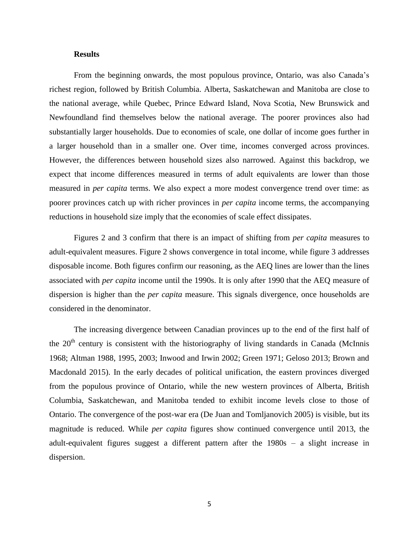# **Results**

From the beginning onwards, the most populous province, Ontario, was also Canada's richest region, followed by British Columbia. Alberta, Saskatchewan and Manitoba are close to the national average, while Quebec, Prince Edward Island, Nova Scotia, New Brunswick and Newfoundland find themselves below the national average. The poorer provinces also had substantially larger households. Due to economies of scale, one dollar of income goes further in a larger household than in a smaller one. Over time, incomes converged across provinces. However, the differences between household sizes also narrowed. Against this backdrop, we expect that income differences measured in terms of adult equivalents are lower than those measured in *per capita* terms. We also expect a more modest convergence trend over time: as poorer provinces catch up with richer provinces in *per capita* income terms, the accompanying reductions in household size imply that the economies of scale effect dissipates.

Figures 2 and 3 confirm that there is an impact of shifting from *per capita* measures to adult-equivalent measures. Figure 2 shows convergence in total income, while figure 3 addresses disposable income. Both figures confirm our reasoning, as the AEQ lines are lower than the lines associated with *per capita* income until the 1990s. It is only after 1990 that the AEQ measure of dispersion is higher than the *per capita* measure. This signals divergence, once households are considered in the denominator.

The increasing divergence between Canadian provinces up to the end of the first half of the  $20<sup>th</sup>$  century is consistent with the historiography of living standards in Canada (McInnis 1968; Altman 1988, 1995, 2003; Inwood and Irwin 2002; Green 1971; Geloso 2013; Brown and Macdonald 2015). In the early decades of political unification, the eastern provinces diverged from the populous province of Ontario, while the new western provinces of Alberta, British Columbia, Saskatchewan, and Manitoba tended to exhibit income levels close to those of Ontario. The convergence of the post-war era (De Juan and Tomljanovich 2005) is visible, but its magnitude is reduced. While *per capita* figures show continued convergence until 2013, the adult-equivalent figures suggest a different pattern after the 1980s – a slight increase in dispersion.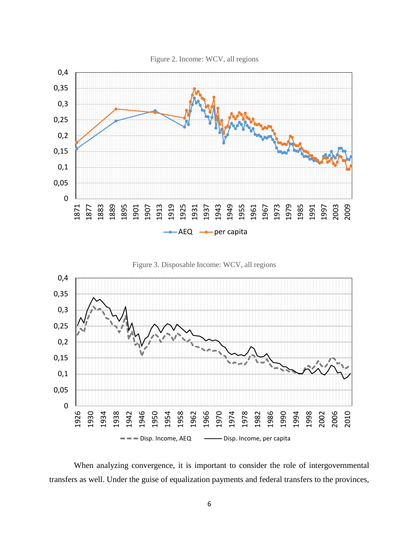

Figure 3. Disposable Income: WCV, all regions



When analyzing convergence, it is important to consider the role of intergovernmental transfers as well. Under the guise of equalization payments and federal transfers to the provinces,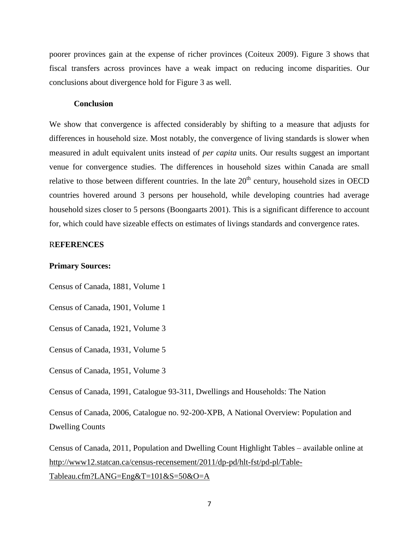poorer provinces gain at the expense of richer provinces (Coiteux 2009). Figure 3 shows that fiscal transfers across provinces have a weak impact on reducing income disparities. Our conclusions about divergence hold for Figure 3 as well.

#### **Conclusion**

We show that convergence is affected considerably by shifting to a measure that adjusts for differences in household size. Most notably, the convergence of living standards is slower when measured in adult equivalent units instead of *per capita* units. Our results suggest an important venue for convergence studies. The differences in household sizes within Canada are small relative to those between different countries. In the late  $20<sup>th</sup>$  century, household sizes in OECD countries hovered around 3 persons per household, while developing countries had average household sizes closer to 5 persons (Boongaarts 2001). This is a significant difference to account for, which could have sizeable effects on estimates of livings standards and convergence rates.

# R**EFERENCES**

#### **Primary Sources:**

Census of Canada, 1881, Volume 1

Census of Canada, 1901, Volume 1

Census of Canada, 1921, Volume 3

Census of Canada, 1931, Volume 5

Census of Canada, 1951, Volume 3

Census of Canada, 1991, Catalogue 93-311, Dwellings and Households: The Nation

Census of Canada, 2006, Catalogue no. 92-200-XPB, A National Overview: Population and Dwelling Counts

Census of Canada, 2011, Population and Dwelling Count Highlight Tables – available online at [http://www12.statcan.ca/census-recensement/2011/dp-pd/hlt-fst/pd-pl/Table-](http://www12.statcan.ca/census-recensement/2011/dp-pd/hlt-fst/pd-pl/Table-Tableau.cfm?LANG=Eng&T=101&S=50&O=A)[Tableau.cfm?LANG=Eng&T=101&S=50&O=A](http://www12.statcan.ca/census-recensement/2011/dp-pd/hlt-fst/pd-pl/Table-Tableau.cfm?LANG=Eng&T=101&S=50&O=A)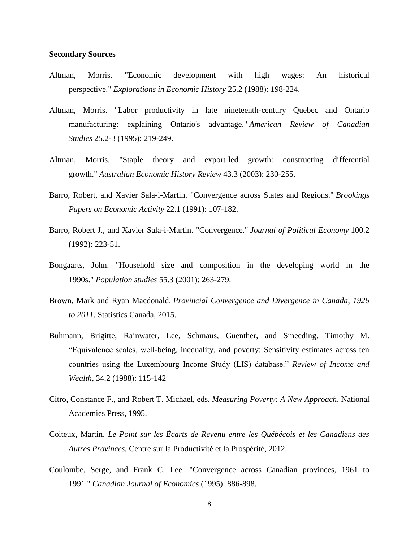#### **Secondary Sources**

- Altman, Morris. "Economic development with high wages: An historical perspective." *Explorations in Economic History* 25.2 (1988): 198-224.
- Altman, Morris. "Labor productivity in late nineteenth-century Quebec and Ontario manufacturing: explaining Ontario's advantage." *American Review of Canadian Studies* 25.2-3 (1995): 219-249.
- Altman, Morris. "Staple theory and export‐led growth: constructing differential growth." *Australian Economic History Review* 43.3 (2003): 230-255.
- Barro, Robert, and Xavier Sala-i-Martin. "Convergence across States and Regions." *Brookings Papers on Economic Activity* 22.1 (1991): 107-182.
- Barro, Robert J., and Xavier Sala-i-Martin. "Convergence." *Journal of Political Economy* 100.2 (1992): 223-51.
- Bongaarts, John. "Household size and composition in the developing world in the 1990s." *Population studies* 55.3 (2001): 263-279.
- Brown, Mark and Ryan Macdonald. *Provincial Convergence and Divergence in Canada, 1926 to 2011*. Statistics Canada, 2015.
- Buhmann, Brigitte, Rainwater, Lee, Schmaus, Guenther, and Smeeding, Timothy M. "Equivalence scales, well-being, inequality, and poverty: Sensitivity estimates across ten countries using the Luxembourg Income Study (LIS) database." *Review of Income and Wealth*, 34.2 (1988): 115-142
- Citro, Constance F., and Robert T. Michael, eds. *Measuring Poverty: A New Approach*. National Academies Press, 1995.
- Coiteux, Martin. *Le Point sur les Écarts de Revenu entre les Québécois et les Canadiens des Autres Provinces.* Centre sur la Productivité et la Prospérité, 2012.
- Coulombe, Serge, and Frank C. Lee. "Convergence across Canadian provinces, 1961 to 1991." *Canadian Journal of Economics* (1995): 886-898.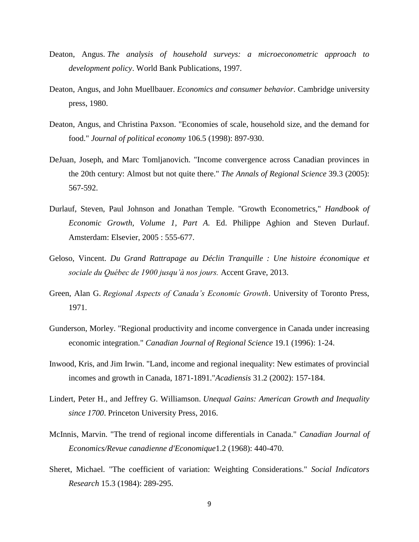- Deaton, Angus. *The analysis of household surveys: a microeconometric approach to development policy*. World Bank Publications, 1997.
- Deaton, Angus, and John Muellbauer. *Economics and consumer behavior*. Cambridge university press, 1980.
- Deaton, Angus, and Christina Paxson. "Economies of scale, household size, and the demand for food." *Journal of political economy* 106.5 (1998): 897-930.
- DeJuan, Joseph, and Marc Tomljanovich. "Income convergence across Canadian provinces in the 20th century: Almost but not quite there." *The Annals of Regional Science* 39.3 (2005): 567-592.
- Durlauf, Steven, Paul Johnson and Jonathan Temple. "Growth Econometrics," *Handbook of Economic Growth, Volume 1, Part A.* Ed. Philippe Aghion and Steven Durlauf. Amsterdam: Elsevier, 2005 : 555-677.
- Geloso, Vincent. *Du Grand Rattrapage au Déclin Tranquille : Une histoire économique et sociale du Québec de 1900 jusqu'à nos jours.* Accent Grave, 2013.
- Green, Alan G. *Regional Aspects of Canada's Economic Growth*. University of Toronto Press, 1971.
- Gunderson, Morley. "Regional productivity and income convergence in Canada under increasing economic integration." *Canadian Journal of Regional Science* 19.1 (1996): 1-24.
- Inwood, Kris, and Jim Irwin. "Land, income and regional inequality: New estimates of provincial incomes and growth in Canada, 1871-1891."*Acadiensis* 31.2 (2002): 157-184.
- Lindert, Peter H., and Jeffrey G. Williamson. *Unequal Gains: American Growth and Inequality since 1700*. Princeton University Press, 2016.
- McInnis, Marvin. "The trend of regional income differentials in Canada." *Canadian Journal of Economics/Revue canadienne d'Economique*1.2 (1968): 440-470.
- Sheret, Michael. "The coefficient of variation: Weighting Considerations." *Social Indicators Research* 15.3 (1984): 289-295.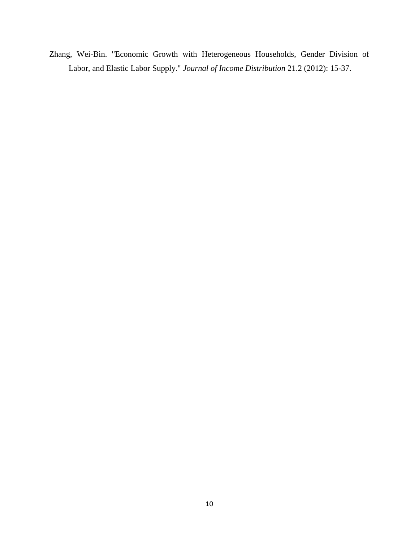Zhang, Wei-Bin. "Economic Growth with Heterogeneous Households, Gender Division of Labor, and Elastic Labor Supply." *Journal of Income Distribution* 21.2 (2012): 15-37.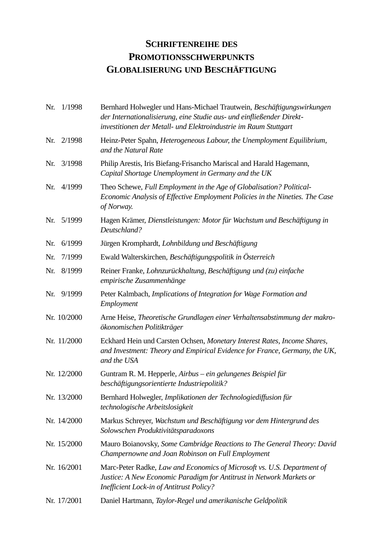# **SCHRIFTENREIHE DES PROMOTIONSSCHWERPUNKTS GLOBALISIERUNG UND BESCHÄFTIGUNG**

| Nr. | 1/1998      | Bernhard Holwegler und Hans-Michael Trautwein, Beschäftigungswirkungen<br>der Internationalisierung, eine Studie aus- und einfließender Direkt-<br>investitionen der Metall- und Elektroindustrie im Raum Stuttgart |
|-----|-------------|---------------------------------------------------------------------------------------------------------------------------------------------------------------------------------------------------------------------|
| Nr. | 2/1998      | Heinz-Peter Spahn, Heterogeneous Labour, the Unemployment Equilibrium,<br>and the Natural Rate                                                                                                                      |
| Nr. | 3/1998      | Philip Arestis, Iris Biefang-Frisancho Mariscal and Harald Hagemann,<br>Capital Shortage Unemployment in Germany and the UK                                                                                         |
| Nr. | 4/1999      | Theo Schewe, Full Employment in the Age of Globalisation? Political-<br>Economic Analysis of Effective Employment Policies in the Nineties. The Case<br>of Norway.                                                  |
| Nr. | 5/1999      | Hagen Krämer, Dienstleistungen: Motor für Wachstum und Beschäftigung in<br>Deutschland?                                                                                                                             |
| Nr. | 6/1999      | Jürgen Kromphardt, Lohnbildung und Beschäftigung                                                                                                                                                                    |
| Nr. | 7/1999      | Ewald Walterskirchen, Beschäftigungspolitik in Österreich                                                                                                                                                           |
| Nr. | 8/1999      | Reiner Franke, Lohnzurückhaltung, Beschäftigung und (zu) einfache<br>empirische Zusammenhänge                                                                                                                       |
| Nr. | 9/1999      | Peter Kalmbach, Implications of Integration for Wage Formation and<br>Employment                                                                                                                                    |
|     | Nr. 10/2000 | Arne Heise, Theoretische Grundlagen einer Verhaltensabstimmung der makro-<br>ökonomischen Politikträger                                                                                                             |
|     | Nr. 11/2000 | Eckhard Hein und Carsten Ochsen, Monetary Interest Rates, Income Shares,<br>and Investment: Theory and Empirical Evidence for France, Germany, the UK,<br>and the USA                                               |
|     | Nr. 12/2000 | Guntram R. M. Hepperle, Airbus – ein gelungenes Beispiel für<br>beschäftigungsorientierte Industriepolitik?                                                                                                         |
|     | Nr. 13/2000 | Bernhard Holwegler, Implikationen der Technologiediffusion für<br>technologische Arbeitslosigkeit                                                                                                                   |
|     | Nr. 14/2000 | Markus Schreyer, Wachstum und Beschäftigung vor dem Hintergrund des<br>Solowschen Produktivitätsparadoxons                                                                                                          |
|     | Nr. 15/2000 | Mauro Boianovsky, Some Cambridge Reactions to The General Theory: David<br>Champernowne and Joan Robinson on Full Employment                                                                                        |
|     | Nr. 16/2001 | Marc-Peter Radke, Law and Economics of Microsoft vs. U.S. Department of<br>Justice: A New Economic Paradigm for Antitrust in Network Markets or<br><b>Inefficient Lock-in of Antitrust Policy?</b>                  |
|     | Nr. 17/2001 | Daniel Hartmann, Taylor-Regel und amerikanische Geldpolitik                                                                                                                                                         |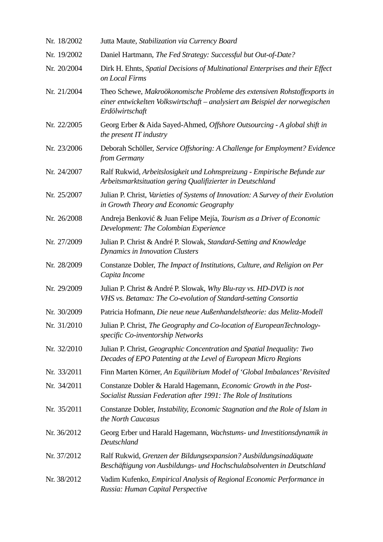| Nr. 18/2002 | Jutta Maute, Stabilization via Currency Board                                                                                                                               |
|-------------|-----------------------------------------------------------------------------------------------------------------------------------------------------------------------------|
| Nr. 19/2002 | Daniel Hartmann, The Fed Strategy: Successful but Out-of-Date?                                                                                                              |
| Nr. 20/2004 | Dirk H. Ehnts, Spatial Decisions of Multinational Enterprises and their Effect<br>on Local Firms                                                                            |
| Nr. 21/2004 | Theo Schewe, Makroökonomische Probleme des extensiven Rohstoffexports in<br>einer entwickelten Volkswirtschaft - analysiert am Beispiel der norwegischen<br>Erdölwirtschaft |
| Nr. 22/2005 | Georg Erber & Aida Sayed-Ahmed, Offshore Outsourcing - A global shift in<br>the present IT industry                                                                         |
| Nr. 23/2006 | Deborah Schöller, Service Offshoring: A Challenge for Employment? Evidence<br>from Germany                                                                                  |
| Nr. 24/2007 | Ralf Rukwid, Arbeitslosigkeit und Lohnspreizung - Empirische Befunde zur<br>Arbeitsmarktsituation gering Qualifizierter in Deutschland                                      |
| Nr. 25/2007 | Julian P. Christ, Varieties of Systems of Innovation: A Survey of their Evolution<br>in Growth Theory and Economic Geography                                                |
| Nr. 26/2008 | Andreja Benković & Juan Felipe Mejía, Tourism as a Driver of Economic<br>Development: The Colombian Experience                                                              |
| Nr. 27/2009 | Julian P. Christ & André P. Slowak, Standard-Setting and Knowledge<br><b>Dynamics in Innovation Clusters</b>                                                                |
| Nr. 28/2009 | Constanze Dobler, The Impact of Institutions, Culture, and Religion on Per<br>Capita Income                                                                                 |
| Nr. 29/2009 | Julian P. Christ & André P. Slowak, Why Blu-ray vs. HD-DVD is not<br>VHS vs. Betamax: The Co-evolution of Standard-setting Consortia                                        |
| Nr. 30/2009 | Patricia Hofmann, Die neue neue Außenhandelstheorie: das Melitz-Modell                                                                                                      |
| Nr. 31/2010 | Julian P. Christ, The Geography and Co-location of EuropeanTechnology-<br>specific Co-inventorship Networks                                                                 |
| Nr. 32/2010 | Julian P. Christ, Geographic Concentration and Spatial Inequality: Two<br>Decades of EPO Patenting at the Level of European Micro Regions                                   |
| Nr. 33/2011 | Finn Marten Körner, An Equilibrium Model of 'Global Imbalances' Revisited                                                                                                   |
| Nr. 34/2011 | Constanze Dobler & Harald Hagemann, Economic Growth in the Post-<br>Socialist Russian Federation after 1991: The Role of Institutions                                       |
| Nr. 35/2011 | Constanze Dobler, Instability, Economic Stagnation and the Role of Islam in<br>the North Caucasus                                                                           |
| Nr. 36/2012 | Georg Erber und Harald Hagemann, Wachstums- und Investitionsdynamik in<br>Deutschland                                                                                       |
| Nr. 37/2012 | Ralf Rukwid, Grenzen der Bildungsexpansion? Ausbildungsinadäquate<br>Beschäftigung von Ausbildungs- und Hochschulabsolventen in Deutschland                                 |
| Nr. 38/2012 | Vadim Kufenko, Empirical Analysis of Regional Economic Performance in<br>Russia: Human Capital Perspective                                                                  |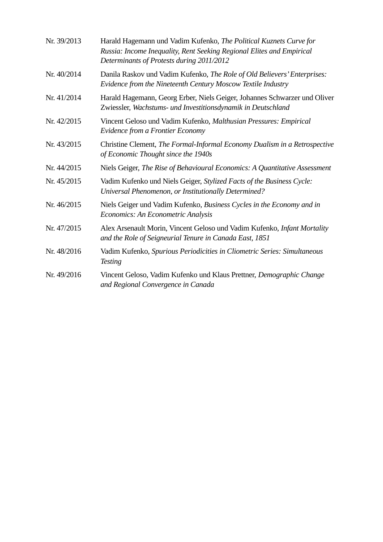| Nr. 39/2013 | Harald Hagemann und Vadim Kufenko, The Political Kuznets Curve for<br>Russia: Income Inequality, Rent Seeking Regional Elites and Empirical<br>Determinants of Protests during 2011/2012 |
|-------------|------------------------------------------------------------------------------------------------------------------------------------------------------------------------------------------|
| Nr. 40/2014 | Danila Raskov und Vadim Kufenko, The Role of Old Believers' Enterprises:<br>Evidence from the Nineteenth Century Moscow Textile Industry                                                 |
| Nr. 41/2014 | Harald Hagemann, Georg Erber, Niels Geiger, Johannes Schwarzer und Oliver<br>Zwiessler, Wachstums- und Investitionsdynamik in Deutschland                                                |
| Nr. 42/2015 | Vincent Geloso und Vadim Kufenko, Malthusian Pressures: Empirical<br>Evidence from a Frontier Economy                                                                                    |
| Nr. 43/2015 | Christine Clement, The Formal-Informal Economy Dualism in a Retrospective<br>of Economic Thought since the 1940s                                                                         |
| Nr. 44/2015 | Niels Geiger, The Rise of Behavioural Economics: A Quantitative Assessment                                                                                                               |
| Nr. 45/2015 | Vadim Kufenko und Niels Geiger, Stylized Facts of the Business Cycle:<br>Universal Phenomenon, or Institutionally Determined?                                                            |
| Nr. 46/2015 | Niels Geiger und Vadim Kufenko, Business Cycles in the Economy and in<br>Economics: An Econometric Analysis                                                                              |
| Nr. 47/2015 | Alex Arsenault Morin, Vincent Geloso und Vadim Kufenko, Infant Mortality<br>and the Role of Seigneurial Tenure in Canada East, 1851                                                      |
| Nr. 48/2016 | Vadim Kufenko, Spurious Periodicities in Cliometric Series: Simultaneous<br><b>Testing</b>                                                                                               |
| Nr. 49/2016 | Vincent Geloso, Vadim Kufenko und Klaus Prettner, Demographic Change<br>and Regional Convergence in Canada                                                                               |